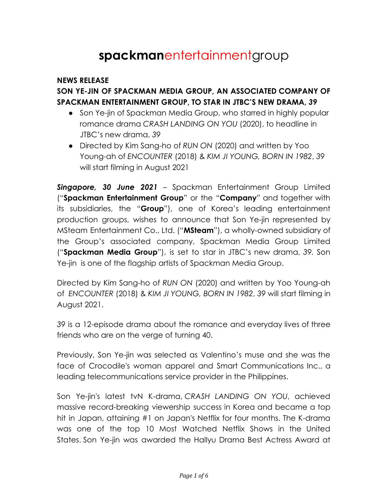# **spackman**entertainmentgroup

#### **NEWS RELEASE**

# **SON YE-JIN OF SPACKMAN MEDIA GROUP, AN ASSOCIATED COMPANY OF SPACKMAN ENTERTAINMENT GROUP, TO STAR IN JTBC'S NEW DRAMA,** *39*

- Son Ye-jin of Spackman Media Group, who starred in highly popular romance drama *CRASH LANDING ON YOU* (2020), to headline in JTBC's new drama, *39*
- Directed by Kim Sang-ho of *RUN ON* (2020) and written by Yoo Young-ah of *ENCOUNTER* (2018) & *KIM JI YOUNG, BORN IN 1982*, *39* will start filming in August 2021

*Singapore, 30 June 2021* – Spackman Entertainment Group Limited ("**Spackman Entertainment Group**" or the "**Company**" and together with its subsidiaries, the "**Group**"), one of Korea's leading entertainment production groups, wishes to announce that Son Ye-jin represented by MSteam Entertainment Co., Ltd. ("**MSteam**"), a wholly-owned subsidiary of the Group's associated company, Spackman Media Group Limited ("**Spackman Media Group**"), is set to star in JTBC's new drama, *39.* Son Ye-jin is one of the flagship artists of Spackman Media Group.

Directed by Kim Sang-ho of *RUN ON* (2020) and written by Yoo Young-ah of *ENCOUNTER* (2018) & *KIM JI YOUNG, BORN IN 1982*, *39* will start filming in August 2021.

*39* is a 12-episode drama about the romance and everyday lives of three friends who are on the verge of turning 40.

Previously, Son Ye-jin was selected as Valentino's muse and she was the face of Crocodile's woman apparel and Smart Communications Inc., a leading telecommunications service provider in the Philippines.

Son Ye-jin's latest tvN K-drama, *CRASH LANDING ON YOU*, achieved massive record-breaking viewership success in Korea and became a top hit in Japan, attaining #1 on Japan's Netflix for four months. The K-drama was one of the top 10 Most Watched Netflix Shows in the United States. Son Ye-jin was awarded the Hallyu Drama Best Actress Award at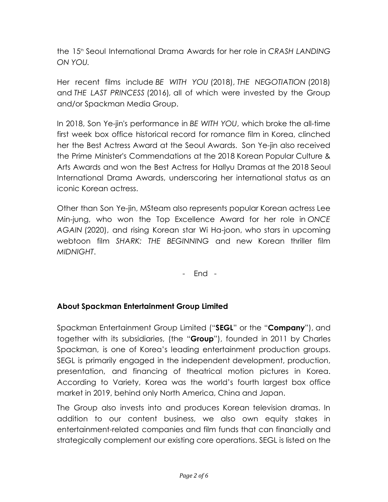the 15th Seoul International Drama Awards for her role in *CRASH LANDING ON YOU.*

Her recent films include *BE WITH YOU* (2018), *THE NEGOTIATION* (2018) and *THE LAST PRINCESS* (2016)*,* all of which were invested by the Group and/or Spackman Media Group.

In 2018, Son Ye-jin's performance in *BE WITH YOU*, which broke the all-time first week box office historical record for romance film in Korea, clinched her the Best Actress Award at the Seoul Awards. Son Ye-jin also received the Prime Minister's Commendations at the 2018 Korean Popular Culture & Arts Awards and won the Best Actress for Hallyu Dramas at the 2018 Seoul International Drama Awards, underscoring her international status as an iconic Korean actress.

Other than Son Ye-jin, MSteam also represents popular Korean actress Lee Min-jung, who won the Top Excellence Award for her role in *ONCE AGAIN* (2020), and rising Korean star Wi Ha-joon, who stars in upcoming webtoon film *SHARK: THE BEGINNING* and new Korean thriller film *MIDNIGHT*.

- End -

## **About Spackman Entertainment Group Limited**

Spackman Entertainment Group Limited ("**SEGL**" or the "**Company**"), and together with its subsidiaries, (the "**Group**"), founded in 2011 by Charles Spackman, is one of Korea's leading entertainment production groups. SEGL is primarily engaged in the independent development, production, presentation, and financing of theatrical motion pictures in Korea. According to Variety, Korea was the world's fourth largest box office market in 2019, behind only North America, China and Japan.

The Group also invests into and produces Korean television dramas. In addition to our content business, we also own equity stakes in entertainment-related companies and film funds that can financially and strategically complement our existing core operations. SEGL is listed on the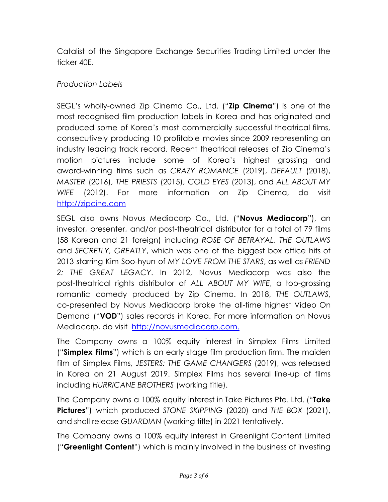Catalist of the Singapore Exchange Securities Trading Limited under the ticker 40E.

#### *Production Labels*

SEGL's wholly-owned Zip Cinema Co., Ltd. ("**Zip Cinema**") is one of the most recognised film production labels in Korea and has originated and produced some of Korea's most commercially successful theatrical films, consecutively producing 10 profitable movies since 2009 representing an industry leading track record. Recent theatrical releases of Zip Cinema's motion pictures include some of Korea's highest grossing and award-winning films such as *CRAZY ROMANCE* (2019), *DEFAULT* (2018), *MASTER* (2016), *THE PRIESTS* (2015), *COLD EYES* (2013), and *ALL ABOUT MY WIFE* (2012). For more information on Zip Cinema, do visit <http://zipcine.com>

SEGL also owns Novus Mediacorp Co., Ltd. ("**Novus Mediacorp**"), an investor, presenter, and/or post-theatrical distributor for a total of 79 films (58 Korean and 21 foreign) including *ROSE OF BETRAYAL*, *THE OUTLAWS* and *SECRETLY, GREATLY*, which was one of the biggest box office hits of 2013 starring Kim Soo-hyun of *MY LOVE FROM THE STARS*, as well as *FRIEND 2: THE GREAT LEGACY*. In 2012, Novus Mediacorp was also the post-theatrical rights distributor of *ALL ABOUT MY WIFE*, a top-grossing romantic comedy produced by Zip Cinema. In 2018, *THE OUTLAWS*, co-presented by Novus Mediacorp broke the all-time highest Video On Demand ("**VOD**") sales records in Korea. For more information on Novus Mediacorp, do visit [http://novusmediacorp.com.](http://novusmediacorp.com)

The Company owns a 100% equity interest in Simplex Films Limited ("**Simplex Films**") which is an early stage film production firm. The maiden film of Simplex Films, *JESTERS: THE GAME CHANGERS* (2019), was released in Korea on 21 August 2019. Simplex Films has several line-up of films including *HURRICANE BROTHERS* (working title).

The Company owns a 100% equity interest in Take Pictures Pte. Ltd. ("**Take Pictures**") which produced *STONE SKIPPING* (2020) and *THE BOX* (2021), and shall release *GUARDIAN* (working title) in 2021 tentatively.

The Company owns a 100% equity interest in Greenlight Content Limited ("**Greenlight Content**") which is mainly involved in the business of investing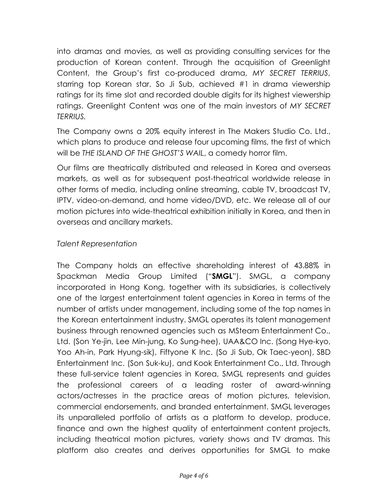into dramas and movies, as well as providing consulting services for the production of Korean content. Through the acquisition of Greenlight Content, the Group's first co-produced drama, *MY SECRET TERRIUS*, starring top Korean star, So Ji Sub, achieved #1 in drama viewership ratings for its time slot and recorded double digits for its highest viewership ratings. Greenlight Content was one of the main investors of *MY SECRET TERRIUS.*

The Company owns a 20% equity interest in The Makers Studio Co. Ltd., which plans to produce and release four upcoming films, the first of which will be *THE ISLAND OF THE GHOST'S WAIL*, a comedy horror film.

Our films are theatrically distributed and released in Korea and overseas markets, as well as for subsequent post-theatrical worldwide release in other forms of media, including online streaming, cable TV, broadcast TV, IPTV, video-on-demand, and home video/DVD, etc. We release all of our motion pictures into wide-theatrical exhibition initially in Korea, and then in overseas and ancillary markets.

#### *Talent Representation*

The Company holds an effective shareholding interest of 43.88% in Spackman Media Group Limited ("**SMGL**"). SMGL, a company incorporated in Hong Kong, together with its subsidiaries, is collectively one of the largest entertainment talent agencies in Korea in terms of the number of artists under management, including some of the top names in the Korean entertainment industry. SMGL operates its talent management business through renowned agencies such as MSteam Entertainment Co., Ltd. (Son Ye-jin, Lee Min-jung, Ko Sung-hee), UAA&CO Inc. (Song Hye-kyo, Yoo Ah-in, Park Hyung-sik), Fiftyone K Inc. (So Ji Sub, Ok Taec-yeon), SBD Entertainment Inc. (Son Suk-ku), and Kook Entertainment Co., Ltd. Through these full-service talent agencies in Korea, SMGL represents and guides the professional careers of a leading roster of award-winning actors/actresses in the practice areas of motion pictures, television, commercial endorsements, and branded entertainment. SMGL leverages its unparalleled portfolio of artists as a platform to develop, produce, finance and own the highest quality of entertainment content projects, including theatrical motion pictures, variety shows and TV dramas. This platform also creates and derives opportunities for SMGL to make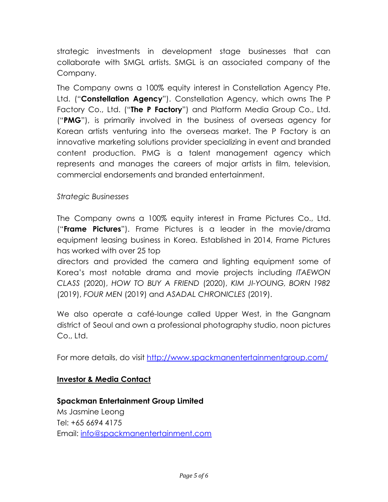strategic investments in development stage businesses that can collaborate with SMGL artists. SMGL is an associated company of the Company.

The Company owns a 100% equity interest in Constellation Agency Pte. Ltd. ("**Constellation Agency**"). Constellation Agency, which owns The P Factory Co., Ltd. ("**The P Factory**") and Platform Media Group Co., Ltd. ("**PMG**"), is primarily involved in the business of overseas agency for Korean artists venturing into the overseas market. The P Factory is an innovative marketing solutions provider specializing in event and branded content production. PMG is a talent management agency which represents and manages the careers of major artists in film, television, commercial endorsements and branded entertainment.

## *Strategic Businesses*

The Company owns a 100% equity interest in Frame Pictures Co., Ltd. ("**Frame Pictures**"). Frame Pictures is a leader in the movie/drama equipment leasing business in Korea. Established in 2014, Frame Pictures has worked with over 25 top

directors and provided the camera and lighting equipment some of Korea's most notable drama and movie projects including *ITAEWON CLASS* (2020), *HOW TO BUY A FRIEND* (2020), *KIM JI-YOUNG, BORN 1982* (2019), *FOUR MEN* (2019) and *ASADAL CHRONICLES* (2019).

We also operate a café-lounge called Upper West, in the Gangnam district of Seoul and own a professional photography studio, noon pictures Co., Ltd.

For more details, do visit <http://www.spackmanentertainmentgroup.com/>

## **Investor & Media Contact**

**Spackman Entertainment Group Limited** Ms Jasmine Leong Tel: +65 6694 4175 Email: [info@spackmanentertainment.com](mailto:info@spackmanentertainment.com)